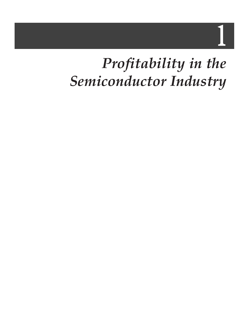1

# *Profitability in the Semiconductor Industry*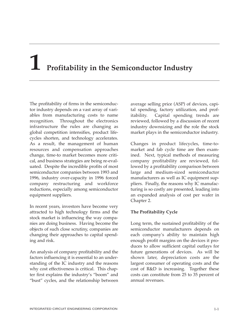# **1 Profitability in the Semiconductor Industry**

The profitability of firms in the semiconductor industry depends on a vast array of variables from manufacturing costs to name recognition. Throughout the electronics infrastructure the rules are changing as global competition intensifies, product lifecycles shorten, and technology accelerates. As a result, the management of human resources and compensation approaches change, time-to market becomes more critical, and business strategies are being re-evaluated. Despite the incredible profits of most semiconductor companies between 1993 and 1996, industry over-capacity in 1996 forced company restructuring and workforce reductions, especially among semiconductor equipment suppliers.

In recent years, investors have become very attracted to high technology firms and the stock market is influencing the way companies are doing business. Having become the objects of such close scrutiny, companies are changing their approaches to capital spending and risk.

An analysis of company profitability and the factors influencing it is essential to an understanding of the IC industry and the reasons why cost effectiveness is critical. This chapter first explains the industry's "boom" and "bust" cycles, and the relationship between

average selling price (ASP) of devices, capital spending, factory utilization, and profitability. Capital spending trends are reviewed, followed by a discussion of recent industry downsizing and the role the stock market plays in the semiconductor industry.

Changes in product lifecycles, time-tomarket and fab cycle time are then examined. Next, typical methods of measuring company profitability are reviewed, followed by a profitability comparison between large and medium-sized semiconductor manufacturers as well as IC equipment suppliers. Finally, the reasons why IC manufacturing is so costly are presented, leading into an expanded analysis of cost per wafer in Chapter 2.

## **The Profitability Cycle**

Long term, the sustained profitability of the semiconductor manufacturers depends on each company's ability to maintain high enough profit margins on the devices it produces to allow sufficient capital outlays for future generations of devices. As will be shown later, depreciation costs are the largest consumer of operating costs and the cost of R&D is increasing. Together these costs can constitute from 25 to 35 percent of annual revenues.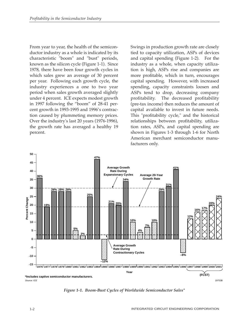From year to year, the health of the semiconductor industry as a whole is indicated by its characteristic "boom" and "bust" periods, known as the silicon cycle (Figure 1-1). Since 1978, there have been four growth cycles in which sales grew an average of 30 percent per year. Following each growth cycle, the industry experiences a one to two year period when sales growth averaged slightly under 4 percent. ICE expects modest growth in 1997 following the "boom" of 28-41 percent growth in 1993-1995 and 1996's contraction caused by plummeting memory prices. Over the industry's last 20 years (1976-1996), the growth rate has averaged a healthy 19 percent.

Swings in production growth rate are closely tied to capacity utilization, ASPs of devices and capital spending (Figure 1-2). For the industry as a whole, when capacity utilization is high, ASPs rise and companies are more profitable, which in turn, encourages capital spending. However, with increased spending, capacity constraints loosen and ASPs tend to drop, decreasing company profitability. The decreased profitability (pre-tax income) then reduces the amount of capital available to invest in future needs. This "profitability cycle," and the historical relationships between profitability, utilization rates, ASPs, and capital spending are shown in Figures 1-3 through 1-6 for North American merchant semiconductor manufacturers only.



*Figure 1-1. Boom-Bust Cycles of Worldwide Semiconductor Sales\**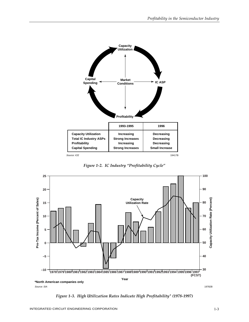

*Figure 1-2. IC Industry "Profitability Cycle"*



*Figure 1-3. High Utilization Rates Indicate High Profitability\* (1978-1997)*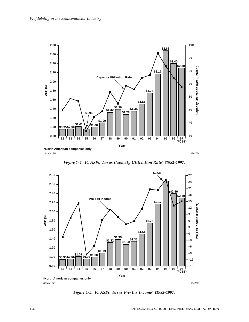

*Figure 1-4. IC ASPs Versus Capacity Utilization Rate\* (1982-1997)*



*Figure 1-5. IC ASPs Versus Pre-Tax Income\* (1982-1997)*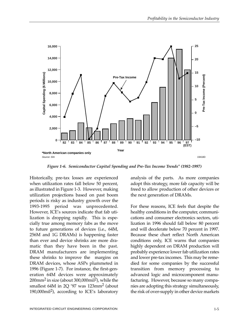

*Figure 1-6. Semiconductor Capital Spending and Pre-Tax Income Trends\* (1982-1997)*

Historically, pre-tax losses are experienced when utilization rates fall below 50 percent, as illustrated in Figure 1-3. However, making utilization projections based on past boom periods is risky as industry growth over the 1993-1995 period was unprecedented. However, ICE's sources indicate that fab utilization is dropping rapidly. This is especially true among memory fabs as the move to future generations of devices (i.e., 64M, 256M and 1G DRAMs) is happening faster than ever and device shrinks are more dramatic than they have been in the past. DRAM manufacturers are implementing these shrinks to improve the margins on DRAM devices, whose ASPs plummeted in 1996 (Figure 1-7). For instance, the first-generation 64M devices were approximately 200mm2 in size (about 300,000mil2), while the smallest 64M in  $2Q'$ 97 was  $123$ mm<sup>2</sup> (about 190,000 $\text{mil}^2$ ), according to ICE's laboratory

analysis of the parts. As more companies adopt this strategy, more fab capacity will be freed to allow production of other devices or the next generation of DRAMs.

For these reasons, ICE feels that despite the healthy conditions in the computer, communications and consumer electronics sectors, utilization in 1996 should fall below 80 percent and will decelerate below 70 percent in 1997. Because these chart reflect North American conditions only, ICE warns that companies highly dependent on DRAM production will probably experience lower fab utilization rates and lower pre-tax incomes. This may be remedied for some companies by the successful transition from memory processing to advanced logic and microcomponent manufacturing. However, because so many companies are adopting this strategy simultaneously, the risk of over-supply in other device markets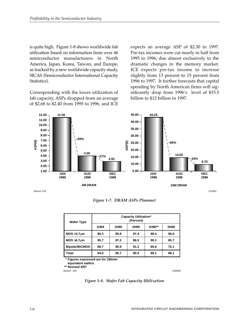is quite high. Figure 1-8 shows worldwide fab utilization based on information from over 46 semiconductor manufacturers in North America, Japan, Korea, Taiwan, and Europe, as tracked by a new worldwide capacity study, SICAS (Semiconductor International Capacity Statistics).

Corresponding with the lower utilization of fab capacity, ASPs dropped from an average of \$2.68 to \$2.40 from 1995 to 1996, and ICE

expects an average ASP of \$2.30 in 1997. Pre-tax incomes were cut nearly in half from 1995 to 1996, due almost exclusively to the dramatic changes in the memory market. ICE expects pre-tax income to increase slightly from 13 percent to 15 percent from 1996 to 1997. It further forecasts that capital spending by North American firms will significantly drop from 1996's level of \$15.5 billion to \$12 billion in 1997.



*Figure 1-7. DRAM ASPs Plummet*

| <b>Wafer Type</b>     | <b>Capacity Utilization*</b><br>(Percent) |                  |      |        |      |
|-----------------------|-------------------------------------------|------------------|------|--------|------|
|                       | 1H94                                      | 1H <sub>95</sub> | 2H95 | 1H96** | 2H96 |
| $MOS < 0.7 \mu m$     | 96.3                                      | 95.8             | 97.4 | 88.4   | 90.0 |
| $MOS \geq 0.7 \mu m$  | 95.7                                      | 97.2             | 96.5 | 90.1   | 85.7 |
| <b>Bipolar/BiCMOS</b> | 86.7                                      | 90.9             | 91.2 | 85.6   | 75.1 |
| Total                 | 94.0                                      | 95.7             | 95.9 | 89.1   | 86.1 |

**\* Figures expressed are for 150mm**

**equivalent wafers.**

**\*\* Revised 4/97**

Source: SIA 20354D

*Figure 1-8. Wafer Fab Capacity Utilization*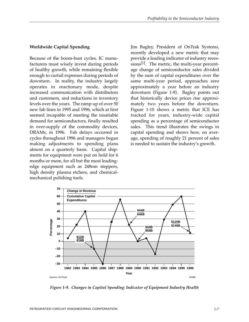#### **Worldwide Capital Spending**

Because of the boom-bust cycles, IC manufacturers must wisely invest during periods of healthy growth, while remaining flexible enough to curtail expenses during periods of downturn. In reality, the industry largely operates in reactionary mode, despite increased communication with distributors and customers, and reductions in inventory levels over the years. The ramp up of over 50 new fab lines in 1995 and 1996, which at first seemed incapable of meeting the insatiable demand for semiconductors, finally resulted in over-supply of the commodity devices, DRAMs, in 1996. Fab delays occurred in cycles throughout 1996 and managers began making adjustments to spending plans almost on a quarterly basis. Capital shipments for equipment were put on hold for 6 months or more, for all but the most leadingedge equipment such as 248nm steppers, high density plasma etchers, and chemicalmechanical polishing tools.

Jim Bagley, President of OnTrak Systems, recently developed a new metric that may provide a leading indicator of industry recessions<sup>[1]</sup>. The metric, the multi-year percentage change of semiconductor sales divided by the sum of capital expenditures over the same multi-year period, approaches zero approximately a year before an industry downturn (Figure 1-9). Bagley points out that historically device prices rise approximately two years before the downturn. Figure 1-10 shows a metric that ICE has tracked for years, industry-wide capital spending as a percentage of semiconductor sales. This trend illustrates the swings in capital spending and shows how, on average, spending of roughly 21 percent of sales is needed to sustain the industry's growth.



*Figure 1-9. Changes in Capital Spending: Indicator of Equipment Industry Health*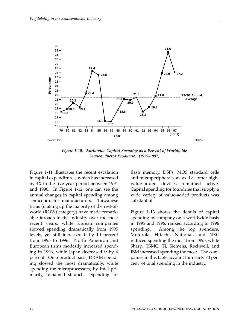

*Figure 1-10. Worldwide Capital Spending as a Percent of Worldwide Semiconductor Production (1979-1997)*

Figure 1-11 illustrates the recent escalation in capital expenditures, which has increased by 4X in the five year period between 1991 and 1996. In Figure 1-12, one can see the annual changes in capital spending among semiconductor manufacturers. Taiwanese firms (making up the majority of the rest-ofworld (ROW) category) have made remarkable inroads in the industry over the most recent years, while Korean companies slowed spending dramatically from 1995 levels, yet still increased it by 10 percent from 1995 to 1996. North American and European firms modestly increased spending in 1996, while Japan decreased it by 4 percent. On a product basis, DRAM spending slowed the most dramatically, while spending for microprocessors, by Intel primarily, remained staunch. Spending for flash memory, DSPs, MOS standard cells and microperipherals, as well as other highvalue-added devices remained active. Capital spending for foundries that supply a wide variety of value-added products was substantial.

Figure 1-13 shows the details of capital spending by company on a worldwide basis in 1995 and 1996, ranked according to 1996 spending. Among the top spenders, Motorola, Hitachi, National, and NEC reduced spending the most from 1995, while Sharp, TSMC, TI, Siemens, Rockwell, and IBM increased spending the most. The companies in this table account for nearly 70 percent of total spending in the industry.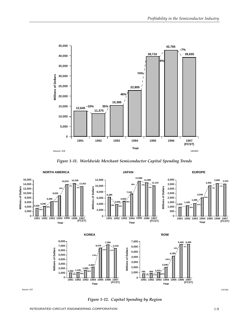

*Figure 1-11. Worldwide Merchant Semiconductor Capital Spending Trends*



Source: ICE 17875M

*Figure 1-12. Capital Spending by Region*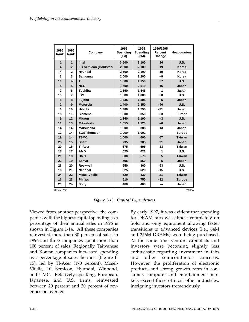| 1995<br>Rank   | 1996<br>Rank          | Company                      | 1996<br>Spending<br>(SM) | 1995<br>Spending<br>(SM) | 1996/1995<br>Percent<br>Change | <b>Headquarters</b> |
|----------------|-----------------------|------------------------------|--------------------------|--------------------------|--------------------------------|---------------------|
| 1              | $\mathbf{1}$          | Intel                        | 3,600                    | 3,100                    | 16                             | <b>U.S.</b>         |
| 4              | $\overline{2}$        | <b>LG Semicon (Goldstar)</b> | 2,500                    | 2,100                    | 19                             | Korea               |
| 4              | $\mathbf{2}$          | Hyundai                      | 2.500                    | 2,100                    | 19                             | Korea               |
| 3              | 3                     | Samsung                      | 2,000                    | 2,200                    | $-9$                           | Korea               |
| 10             | $\boldsymbol{4}$      | TI                           | 1,800                    | 1,150                    | 57                             | <b>U.S.</b>         |
| 5              | 5                     | <b>NEC</b>                   | 1,700                    | 2,010                    | $-15$                          | Japan               |
| 7              | 6                     | Toshiba                      | 1,560                    | 1,545                    | 1                              | Japan               |
| 13             | $\overline{7}$        | <b>IBM</b>                   | 1,500                    | 1,000                    | 50                             | U.S.                |
| 8              | 8                     | <b>Fujitsu</b>               | 1.435                    | 1,505                    | $-5$                           | Japan               |
| $\overline{2}$ | 9                     | <b>Motorola</b>              | 1,400                    | 2,350                    | $-40$                          | U.S.                |
| 6              | 10                    | Hitachi                      | 1,380                    | 1,755                    | $-21$                          | Japan               |
| 15             | 11                    | <b>Siemens</b>               | 1,300                    | 850                      | 53                             | <b>Europe</b>       |
| 9              | 12                    | <b>Micron</b>                | 1,160                    | 1,190                    | $-3$                           | U.S.                |
| 11             | 13                    | <b>Mitsubishi</b>            | 1,055                    | 1,120                    | $-6$                           | Japan               |
| 14             | 14                    | <b>Matsushita</b>            | 1.000                    | 885                      | 13                             | Japan               |
| 12             | 14                    | <b>SGS-Thomson</b>           | 1,000                    | 1,002                    |                                | <b>Europe</b>       |
| 19             | 14                    | <b>TSMC</b>                  | 1.000                    | 600                      | 67                             | <b>Taiwan</b>       |
| 25             | 15                    | <b>Sharp</b>                 | 735                      | 385                      | 91                             | Japan               |
| 20             | 16                    | <b>TI-Acer</b>               | 675                      | 595                      | 13                             | Taiwan              |
| 17             | 17                    | <b>AMD</b>                   | 625                      | 621                      | 1                              | U.S.                |
| 21             | 18                    | <b>UMC</b>                   | 600                      | 570                      | 5                              | <b>Taiwan</b>       |
| 22             | 19                    | Sanyo                        | 595                      | 560                      | 6                              | Japan               |
| 26             | 20                    | <b>Rockwell</b>              | 550                      | 360                      | 53                             | U.S.                |
| 18             | 21                    | <b>National</b>              | 525                      | 620                      | $-15$                          | U.S.                |
| 24             | 22                    | <b>Mosel Vitelic</b>         | 520                      | 430                      | 21                             | <b>Taiwan</b>       |
| 16             | 23                    | <b>Philips</b>               | 510                      | 750                      | $-32$                          | <b>Europe</b>       |
| 23             | 24                    | Sony                         | 460                      | 460                      |                                | Japan               |
|                | Source: ICE<br>21960A |                              |                          |                          |                                |                     |

*Figure 1-13. Capital Expenditures*

Viewed from another perspective, the companies with the highest capital spending as a percentage of their annual sales in 1996 is shown in Figure 1-14. All these companies reinvested more than 30 percent of sales in 1996 and three companies spent more than 100 percent of sales! Regionally, Taiwanese and Korean companies increased spending as a percentage of sales the most (Figure 1- 15), led by TI-Acer (170 percent), Mosel-Vitelic, LG Semicon, Hyundai, Winbond, and UMC. Relatively speaking, European, Japanese, and U.S. firms, reinvested between 20 percent and 30 percent of revenues on average.

By early 1997, it was evident that spending for DRAM fabs was almost completely on hold and only equipment allowing faster transitions to advanced devices (i.e., 64M and 256M DRAMs) were being purchased. At the same time venture capitalists and investors were becoming slightly less enthusiastic regarding investment in fabs and other semiconductor concerns. However, the proliferation of electronic products and strong growth rates in consumer, computer and entertainment markets exceed those of most other industries, intriguing investors tremendously.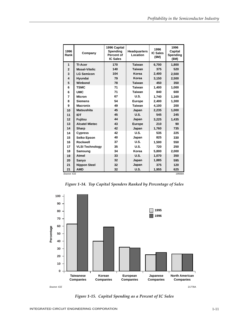| 1996<br>Rank            | Company                | 1996 Capital<br><b>Headquarters</b><br>Spending<br>Location<br>Percent of<br><b>IC Sales</b> |               | 1996<br><b>IC Sales</b><br>(\$M) | 1996<br>Capital<br>Spending<br>(SM) |
|-------------------------|------------------------|----------------------------------------------------------------------------------------------|---------------|----------------------------------|-------------------------------------|
| 1                       | <b>TI-Acer</b>         | 170                                                                                          | <b>Taiwan</b> | 6,700                            | 1,800                               |
| $\overline{2}$          | <b>Mosel-Vitelic</b>   | 140                                                                                          | <b>Taiwan</b> | 375                              | 520                                 |
| 3                       | <b>LG Semicon</b>      | 104                                                                                          | Korea         | 2.400                            | 2,500                               |
| $\overline{\mathbf{A}}$ | Hyundai                | 79                                                                                           | Korea         | 3,150                            | 2,500                               |
| 5                       | Winbond                | 78                                                                                           | <b>Taiwan</b> | 450                              | 350                                 |
| 6                       | <b>TSMC</b>            | 71                                                                                           | Taiwan        | 1.400                            | 1.000                               |
| 6                       | <b>UMC</b>             | 71                                                                                           | Taiwan        | 840                              | 600                                 |
| $\overline{7}$          | <b>Micron</b>          | 67                                                                                           | <b>U.S.</b>   | 1.740                            | 1,160                               |
| 8                       | <b>Siemens</b>         | 54                                                                                           | Europe        | 2.400                            | 1,300                               |
| 9                       | <b>Macronix</b>        | 49                                                                                           | Taiwan        | 4,100                            | 200                                 |
| 10                      | <b>Matsushita</b>      | 45                                                                                           | Japan         | 2.235                            | 1,000                               |
| 11                      | <b>IDT</b>             | 45                                                                                           | <b>U.S.</b>   | 545                              | 245                                 |
| 12                      | <b>Fujitsu</b>         | 44                                                                                           | Japan         | 3,225                            | 1,435                               |
| 13                      | <b>Alcatel Mietec</b>  | 43                                                                                           | <b>Europe</b> | 210                              | 90                                  |
| 14                      | <b>Sharp</b>           | 42                                                                                           | Japan         | 1,760                            | 735                                 |
| 14                      | <b>Cypress</b>         | 42                                                                                           | <b>U.S.</b>   | 535                              | 225                                 |
| 15                      | Seiko Epson            | 40                                                                                           | Japan         | 825                              | 330                                 |
| 16                      | Rockwell               | 37                                                                                           | <b>U.S.</b>   | 1,500                            | 550                                 |
| 17                      | <b>VLSI Technology</b> | 35                                                                                           | <b>U.S.</b>   | 720                              | 250                                 |
| 18                      | Samsung                | 34                                                                                           | Korea         | 5.800                            | 2,000                               |
| 19                      | <b>Atmel</b>           | 33                                                                                           | <b>U.S.</b>   | 1.070                            | 350                                 |
| 20                      | Sanyo                  | 32                                                                                           | Japan         | 1,885                            | 595                                 |
| 21                      | <b>Nippon Steel</b>    | 32                                                                                           | Japan         | 375                              | 120                                 |
| 21                      | <b>AMD</b>             | 32                                                                                           | <b>U.S.</b>   | 1,955                            | 625                                 |

*Figure 1-14. Top Capital Spenders Ranked by Percentage of Sales*



*Figure 1-15. Capital Spending as a Percent of IC Sales*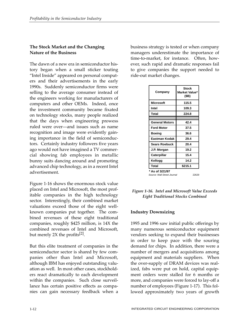# **The Stock Market and the Changing Nature of the Business**

The dawn of a new era in semiconductor history began when a small sticker touting "Intel Inside" appeared on personal computers and their advertisements in the early 1990s. Suddenly semiconductor firms were selling to the average consumer instead of the engineers working for manufacturers of computers and other OEMs. Indeed, once the investment community became fixated on technology stocks, many people realized that the days when engineering prowess ruled were over—and issues such as name recognition and image were evidently gaining importance in the field of semiconductors. Certainly industry followers five years ago would not have imagined a TV commercial showing fab employees in metallic bunny suits dancing around and promoting advanced chip technology, as in a recent Intel advertisement.

Figure 1-16 shows the enormous stock value placed on Intel and Microsoft, the most profitable companies in the high technology sector. Interestingly, their combined market valuations exceed those of the eight wellknown companies put together. The combined revenues of these eight traditional companies, roughly \$425 million, is 14X the combined revenues of Intel and Microsoft, but merely 2X the profits<sup>[2]</sup>.

But this elite treatment of companies in the semiconductor sector is shared by few companies other than Intel and Microsoft, although IBM has enjoyed outstanding valuation as well. In most other cases, stockholders react dramatically to each development within the companies. Such close surveillance has certain positive effects as companies can gain necessary feedback when a business strategy is tested or when company managers underestimate the importance of time-to-market, for instance. Often, however, such rapid and dramatic responses fail to give companies the support needed to ride-out market changes.

| Company                                                 | <b>Stock</b><br>Market Value*<br>(\$B) |  |  |  |
|---------------------------------------------------------|----------------------------------------|--|--|--|
| <b>Microsoft</b>                                        | 115.5                                  |  |  |  |
| Intel                                                   | 109.3                                  |  |  |  |
| Total                                                   | 224.8                                  |  |  |  |
|                                                         |                                        |  |  |  |
| <b>General Motors</b>                                   | 42.4                                   |  |  |  |
| <b>Ford Motor</b>                                       | 37.5                                   |  |  |  |
| Boeing                                                  | 36.6                                   |  |  |  |
| Eastman Kodak                                           | 29.4                                   |  |  |  |
| Sears Roebuck                                           | 20.4                                   |  |  |  |
| J.P. Morgan                                             | 19.2                                   |  |  |  |
| Caterpillar                                             | 15.4                                   |  |  |  |
| Kellogg                                                 | 14.2                                   |  |  |  |
| Total                                                   | \$215.1                                |  |  |  |
| * As of 3/21/97<br>Source: Wall Street Journal<br>22629 |                                        |  |  |  |

#### *Figure 1-16. Intel and Microsoft Value Exceeds Eight Traditional Stocks Combined*

## **Industry Downsizing**

1995 and 1996 saw initial public offerings by many numerous semiconductor equipment vendors seeking to expand their businesses in order to keep pace with the souring demand for chips. In addition, there were a number of mergers and acquisitions among equipment and materials suppliers. When the over-supply of DRAM devices was realized, fabs were put on hold, capital equipment orders were stalled for 6 months or more, and companies were forced to lay-off a number of employees (Figure 1-17). This followed approximately two years of growth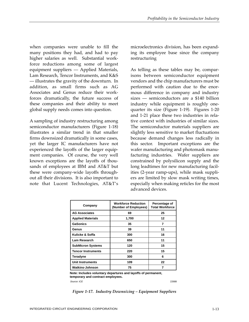when companies were unable to fill the many positions they had, and had to pay higher salaries as well. Substantial workforce reductions among some of largest equipment suppliers — Applied Materials, Lam Research, Tencor Instruments, and K&S — illustrates the gravity of the downturn. In addition, as small firms such as AG Associates and Genus reduce their workforces dramatically, the future success of these companies and their ability to meet global supply needs comes into question.

A sampling of industry restructuring among semiconductor manufacturers (Figure 1-18) illustrates a similar trend in that smaller firms downsized dramatically in some cases, yet the larger IC manufacturers have not experienced the layoffs of the larger equipment companies. Of course, the very well known exceptions are the layoffs of thousands of employees at IBM and AT&T but these were company-wide layoffs throughout all their divisions. It is also important to note that Lucent Technologies, AT&T's

microelectronics division, has been expanding its employee base since the company restructuring

As telling as these tables may be, comparisons between semiconductor equipment vendors and the chip manufacturers must be performed with caution due to the enormous difference in company and industry sizes — semiconductors are a \$140 billion industry while equipment is roughly onequarter its size (Figure 1-19). Figures 1-20 and 1-21 place these two industries in relative context with industries of similar sizes. The semiconductor materials suppliers are slightly less sensitive to market fluctuations because demand changes less radically in this sector. Important exceptions are the wafer manufacturing and photomask manufacturing industries. Wafer suppliers are constrained by polysilicon supply and the long leadtimes for new manufacturing facilities (2-year ramp-ups), while mask suppliers are limited by slow mask writing times, especially when making reticles for the most advanced devices.

| Company                   | <b>Workforce Reduction</b><br>(Number of Employees) | Percentage of<br><b>Total Workforce</b> |  |
|---------------------------|-----------------------------------------------------|-----------------------------------------|--|
| <b>AG Associates</b>      | 69                                                  | 25                                      |  |
| <b>Applied Materials</b>  | 1,700                                               | 12                                      |  |
| <b>GaSonics</b>           | 35                                                  | 7                                       |  |
| Genus                     | 39                                                  | 11                                      |  |
| Kulicke & Soffa           | 300                                                 | 16                                      |  |
| Lam Research              | 650                                                 | 11                                      |  |
| <b>SubMicron Systems</b>  | 120                                                 | 15                                      |  |
| <b>Tencor Instruments</b> | 220                                                 | 15                                      |  |
| Teradyne                  | 300                                                 | 6                                       |  |
| <b>Unit Instruments</b>   | 109                                                 | 22                                      |  |
| <b>Watkins-Johnson</b>    | 75                                                  | 7                                       |  |

**Note: Includes voluntary departures and layoffs of permanent, temporary and contract employees.**

Source: ICE 22688

*Figure 1-17. Industry Downsizing – Equipment Suppliers*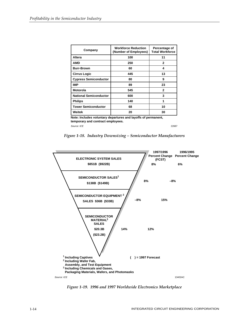| Company                       | <b>Workforce Reduction</b><br>(Number of Employees) | Percentage of<br><b>Total Workforce</b> |  |
|-------------------------------|-----------------------------------------------------|-----------------------------------------|--|
| Altera                        | 100                                                 | 11                                      |  |
| <b>AMD</b>                    | 250                                                 | $\mathbf{2}$                            |  |
| <b>Burr-Brown</b>             | 60                                                  | 4                                       |  |
| <b>Cirrus Logic</b>           | 445                                                 | 13                                      |  |
| <b>Cypress Semiconductor</b>  | 80                                                  | 9                                       |  |
| <b>IMP</b>                    | 89                                                  | 23                                      |  |
| <b>Motorola</b>               | 545                                                 | $\overline{2}$                          |  |
| <b>National Semiconductor</b> | 600                                                 | 3                                       |  |
| <b>Philips</b>                | 140                                                 | 1                                       |  |
| <b>Tower Semiconductor</b>    | 68                                                  | 10                                      |  |
| Weitek                        | 20                                                  | 30                                      |  |

Source: ICE **Note: Includes voluntary departures and layoffs of permanent, temporary and contract employees.**

22687

*Figure 1-18. Industry Downsizing – Semiconductor Manufacturers*



*Figure 1-19. 1996 and 1997 Worldwide Electronics Marketplace*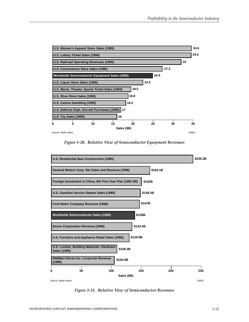

*Figure 1-20. Relative View of Semiconductor Equipment Revenues*



*Figure 1-21. Relative View of Semiconductor Revenues*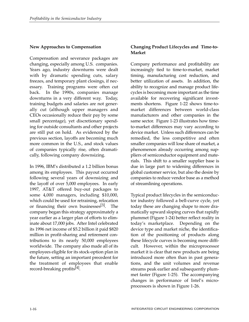#### **New Approaches to Compensation**

Compensation and severance packages are changing, especially among U.S. companies. Years ago, industry downturns were dealt with by dramatic spending cuts, salary freezes, and temporary plant closings, if necessary. Training programs were often cut back. In the 1990s, companies manage downturns in a very different way. Today, training budgets and salaries are not generally cut (although upper managers and CEOs occasionally reduce their pay by some small percentage), yet discretionary spending for outside consultants and other projects are still put on hold. As evidenced by the previous section, layoffs are becoming much more common in the U.S., and stock values of companies typically rise, often dramatically, following company downsizing.

In 1996, IBM's distributed a 1.2 billion bonus among its employees. This payout occurred following several years of downsizing and the layoff of over 5,000 employees. In early 1997, AT&T offered buy-out packages to some 4,000 managers, including \$10,000, which could be used for retraining, relocation or financing their own businesses<sup>[3]</sup>. The company began this strategy approximately a year earlier as a larger plan of efforts to eliminate about 17,000 jobs. After Intel celebrated its 1996 net income of \$5.2 billion it paid \$820 million in profit-sharing and retirement contributions to its nearly 50,000 employees worldwide. The company also made all of its employees eligible for its stock-option plan in the future, setting an important precedent for the treatment of employees that enable record-breaking profits<sup>[4]</sup>.

## **Changing Product Lifecycles and Time-to-Market**

Company performance and profitability are increasingly tied to time-to-market, market timing, manufacturing cost reduction, and better utilization of assets. In addition, the ability to recognize and manage product lifecycles is becoming more important as the time available for recovering significant investments shortens. Figure 1-22 shows time-tomarket differences between world-class manufacturers and other companies in the same sector. Figure 1-23 illustrates how timeto-market differences may vary according to device market. Unless such differences can be remedied, the less competitive and often smaller companies will lose share of market, a phenomenon already occurring among suppliers of semiconductor equipment and materials. This shift to a smaller supplier base is due in large part to widening differences in global customer service, but also the desire by companies to reduce vendor base as a method of streamlining operations.

Typical product lifecycles in the semiconductor industry followed a bell-curve cycle, yet today these are changing shape to more dramatically upward sloping curves that rapidly plummet (Figure 1-24) better reflect reality in today's marketplace. Depending on the device type and market niche, the identification of the positioning of products along these lifecycle curves is becoming more difficult. However, within the microprocessor market it is clear that new products are being introduced more often than in past generations, and the unit volumes and revenue streams peak earlier and subsequently plummet faster (Figure 1-25). The accompanying changes in performance of Intel's microprocessors is shown in Figure 1-26.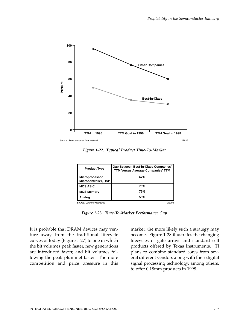

*Figure 1-22. Typical Product Time-To-Market*

| <b>Product Type</b>                     | <b>Gap Between Best-in-Class Companies'</b><br><b>TTM Versus Average Companies' TTM</b> |  |  |
|-----------------------------------------|-----------------------------------------------------------------------------------------|--|--|
| Microprocessor,<br>Microcontroller, DSP | 67%                                                                                     |  |  |
| <b>MOS ASIC</b>                         | 73%                                                                                     |  |  |
| <b>MOS Memory</b>                       | 76%                                                                                     |  |  |
| Analog                                  | 55%                                                                                     |  |  |
| Source: Channel Magazine                | 22704                                                                                   |  |  |

*Figure 1-23. Time-To-Market Performance Gap*

It is probable that DRAM devices may venture away from the traditional lifecycle curves of today (Figure 1-27) to one in which the bit volumes peak faster, new generations are introduced faster, and bit volumes following the peak plummet faster. The more competition and price pressure in this

market, the more likely such a strategy may become. Figure 1-28 illustrates the changing lifecycles of gate arrays and standard cell products offered by Texas Instruments. TI plans to combine standard cores from several different vendors along with their digital signal processing technology, among others, to offer 0.18mm products in 1998.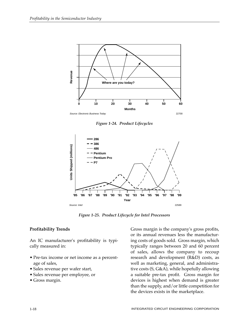

*Figure 1-24. Product Lifecycles*



*Figure 1-25. Product Lifecycle for Intel Processors*

## **Profitability Trends**

An IC manufacturer's profitability is typically measured in:

- Pre-tax income or net income as a percentage of sales,
- Sales revenue per wafer start,
- Sales revenue per employee, or
- Gross margin.

Gross margin is the company's gross profits, or its annual revenues less the manufacturing costs of goods sold. Gross margin, which typically ranges between 20 and 60 percent of sales, allows the company to recoup research and development (R&D) costs, as well as marketing, general, and administrative costs (S, G&A), while hopefully allowing a suitable pre-tax profit. Gross margin for devices is highest when demand is greater than the supply, and/or little competition for the devices exists in the marketplace.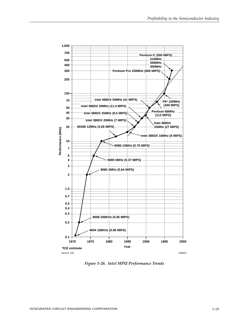

*Figure 1-26. Intel MPU Performance Trends*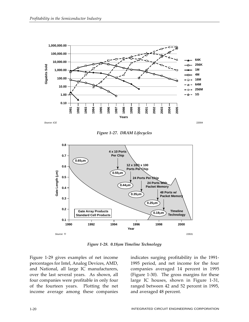

*Figure 1-27. DRAM Lifecycles*



*Figure 1-28. 0.18µm Timeline Technology*

Figure 1-29 gives examples of net income percentages for Intel, Analog Devices, AMD, and National, all large IC manufacturers, over the last several years. As shown, all four companies were profitable in only four of the fourteen years. Plotting the net income average among these companies indicates surging profitability in the 1991- 1995 period, and net income for the four companies averaged 14 percent in 1995 (Figure 1-30). The gross margins for these large IC houses, shown in Figure 1-31, ranged between 42 and 52 percent in 1995, and averaged 48 percent.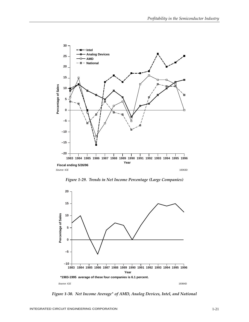

*Figure 1-29. Trends in Net Income Percentage (Large Companies)*



*Figure 1-30. Net Income Average\* of AMD, Analog Devices, Intel, and National*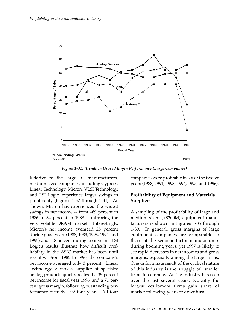

*Figure 1-31. Trends in Gross Margin Performance (Large Companies)*

Relative to the large IC manufacturers, medium-sized companies, including Cypress, Linear Technology, Micron, VLSI Technology, and LSI Logic, experience larger swings in profitability (Figures 1-32 through 1-34). As shown, Micron has experienced the widest swings in net income -- from –69 percent in 1986 to 34 percent in 1988 -- mirroring the very volatile DRAM market. Interestingly, Micron's net income averaged 25 percent during good years (1988, 1989, 1993, 1994, and 1995) and –18 percent during poor years. LSI Logic's results illustrate how difficult profitability in the ASIC market has been until recently. From 1985 to 1996, the company's net income averaged only 3 percent. Linear Technology, a fabless supplier of specialty analog products quietly realized a 35 percent net income for fiscal year 1996, and a 71 percent gross margin, following outstanding performance over the last four years. All four

companies were profitable in six of the twelve years (1988, 1991, 1993, 1994, 1995, and 1996).

#### **Profitability of Equipment and Materials Suppliers**

A sampling of the profitability of large and medium-sized (<\$200M) equipment manufacturers is shown in Figures 1-35 through 1-39. In general, gross margins of large equipment companies are comparable to those of the semiconductor manufacturers during booming years, yet 1997 is likely to see rapid decreases in net incomes and gross margins, especially among the larger firms. One unfortunate result of the cyclical nature of this industry is the struggle of smaller firms to compete. As the industry has seen over the last several years, typically the largest equipment firms gain share of market following years of downturn.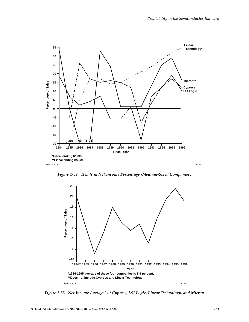

*Figure 1-32. Trends in Net Income Percentage (Medium-Sized Companies)*



*Figure 1-33. Net Income Average\* of Cypress, LSI Logic, Linear Technology, and Micron*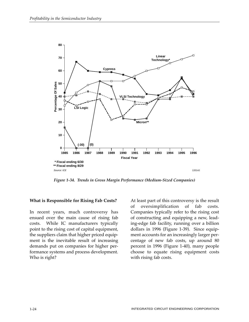

*Figure 1-34. Trends in Gross Margin Performance (Medium-Sized Companies)*

#### **What is Responsible for Rising Fab Costs?**

In recent years, much controversy has ensued over the main cause of rising fab costs. While IC manufacturers typically point to the rising cost of capital equipment, the suppliers claim that higher priced equipment is the inevitable result of increasing demands put on companies for higher performance systems and process development. Who is right?

At least part of this controversy is the result of oversimplification of fab costs. Companies typically refer to the rising cost of constructing and equipping a new, leading-edge fab facility, running over a billion dollars in 1996 (Figure 1-39). Since equipment accounts for an increasingly larger percentage of new fab costs, up around 80 percent in 1996 (Figure 1-40), many people choose to equate rising equipment costs with rising fab costs.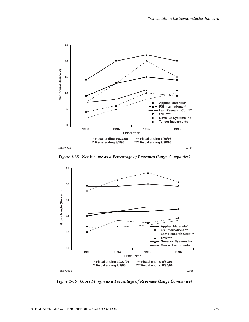

*Figure 1-35. Net Income as a Percentage of Revenues (Large Companies)*



*Figure 1-36. Gross Margin as a Percentage of Revenues (Large Companies)*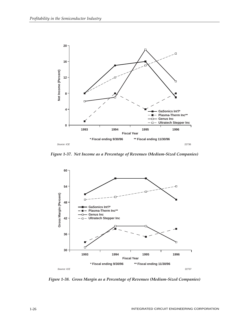

*Figure 1-37. Net Income as a Percentage of Revenues (Medium-Sized Companies)*



*Figure 1-38. Gross Margin as a Percentage of Revenues (Medium-Sized Companies)*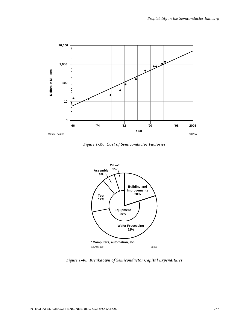

*Figure 1-39. Cost of Semiconductor Factories*



*Figure 1-40. Breakdown of Semiconductor Capital Expenditures*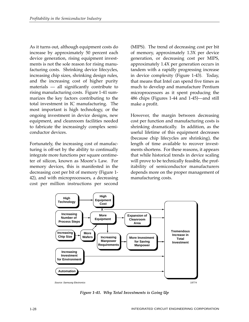As it turns out, although equipment costs do increase by approximately 50 percent each device generation, rising equipment investments is not the sole reason for rising manufacturing costs. Shrinking device lifecycles, increasing chip sizes, shrinking design rules, and the increasing cost of higher purity materials — all significantly contribute to rising manufacturing costs. Figure 1-41 summarizes the key factors contributing to the total investment in IC manufacturing. The most important is high technology, or the ongoing investment in device designs, new equipment, and cleanroom facilities needed to fabricate the increasingly complex semiconductor devices.

Fortunately, the increasing cost of manufacturing is off-set by the ability to continually integrate more functions per square centimeter of silicon, known as Moore's Law. For memory devices, this is manifested in the decreasing cost per bit of memory (Figure 1- 42), and with microprocessors, a decreasing cost per million instructions per second (MIPS). The trend of decreasing cost per bit of memory, approximately 1.3X per device generation, or decreasing cost per MIPS, approximately 1.4X per generation occurs in tandem with a rapidly progressing increase in device complexity (Figure 1-43). Today, that means that Intel can spend five times as much to develop and manufacture Pentium microprocessors as it spent producing the 486 chips (Figures 1-44 and 1-45)—and still make a profit.

However, the margin between decreasing cost per function and manufacturing costs is shrinking dramatically. In addition, as the useful lifetime of this equipment decreases (because chip lifecycles are shrinking), the length of time available to recover investments shortens. For these reasons, it appears that while historical trends in device scaling will prove to be technically feasible, the profitability of semiconductor manufacturers depends more on the proper management of manufacturing costs.



*Figure 1-41. Why Total Investments is Going Up*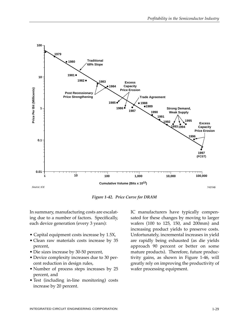

*Figure 1-42. Price Curve for DRAM* 

In summary, manufacturing costs are escalating due to a number of factors. Specifically, each device generation (every 3 years):

- Capital equipment costs increase by 1.5X,
- Clean raw materials costs increase by 35 percent,
- Die sizes increase by 30-50 percent,
- Device complexity increases due to 30 percent reduction in design rules,
- Number of process steps increases by 25 percent, and
- Test (including in-line monitoring) costs increase by 20 percent.

IC manufacturers have typically compensated for these changes by moving to larger wafers (100 to 125, 150, and 200mm) and increasing product yields to preserve costs. Unfortunately, incremental increases in yield are rapidly being exhausted (as die yields approach 90 percent or better on some mature products). Therefore, future productivity gains, as shown in Figure 1-46, will greatly rely on improving the productivity of wafer processing equipment.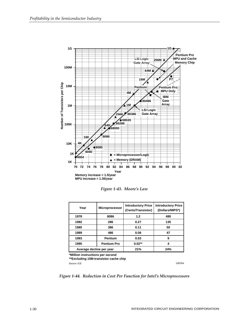

*Figure 1-43. Moore's Law*

| Year                     | <b>Microprocessor</b> | <b>Introductory Price</b><br>(Cents/Transistor) | <b>Introductory Price</b><br>(Dollars/MIPS*) |
|--------------------------|-----------------------|-------------------------------------------------|----------------------------------------------|
| 1978                     | 8086                  | 1.2                                             | 480                                          |
| 1982                     | 286                   | 0.27                                            | 135                                          |
| 1985                     | 386                   | 0.11                                            | 50                                           |
| 1989                     | 486                   | 0.08                                            | 47                                           |
| 1993                     | <b>Pentium</b>        | 0.03                                            | 9                                            |
| 1995                     | <b>Pentium Pro</b>    | $0.02**$                                        | 4                                            |
| Average decline per year |                       | 21%                                             | 24%                                          |

**\*Million instructions per second**

**\*\*Excluding 15M-transistor cache chip**

Source: ICE 19976A

*Figure 1-44. Reduction in Cost Per Function for Intel's Microprocessors*